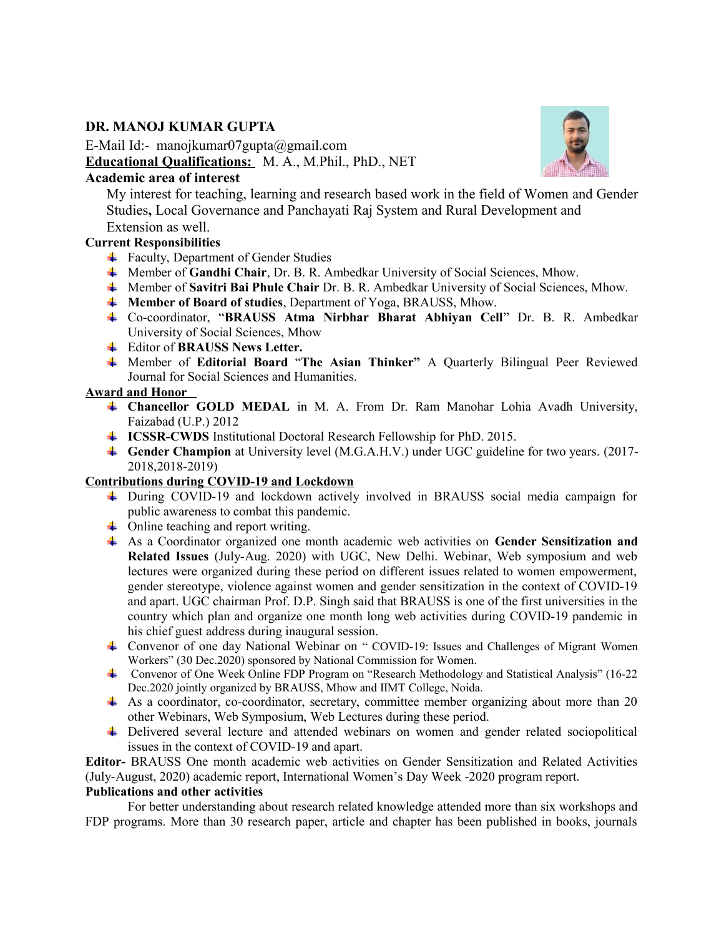# **DR. MANOJ KUMAR GUPTA**

E-Mail Id:- manojkumar07gupta@gmail.com **Educational Qualifications:** M. A., M.Phil., PhD., NET

# **Academic area of interest**

My interest for teaching, learning and research based work in the field of Women and Gender Studies**,** Local Governance and Panchayati Raj System and Rural Development and Extension as well.

# **Current Responsibilities**

- $\overline{\phantom{a}}$  Faculty, Department of Gender Studies
- Member of **Gandhi Chair**, Dr. B. R. Ambedkar University of Social Sciences, Mhow.
- Member of **Savitri Bai Phule Chair** Dr. B. R. Ambedkar University of Social Sciences, Mhow.
- **Member of Board of studies**, Department of Yoga, BRAUSS, Mhow.
- Co-coordinator, "**BRAUSS Atma Nirbhar Bharat Abhiyan Cell**" Dr. B. R. Ambedkar University of Social Sciences, Mhow
- Editor of **BRAUSS News Letter.**
- Member of **Editorial Board** "**The Asian Thinker"** A Quarterly Bilingual Peer Reviewed Journal for Social Sciences and Humanities.

#### **Award and Honor**

- **Chancellor GOLD MEDAL** in M. A. From Dr. Ram Manohar Lohia Avadh University, Faizabad (U.P.) 2012
- **ICSSR-CWDS** Institutional Doctoral Research Fellowship for PhD. 2015.
- **Gender Champion** at University level (M.G.A.H.V.) under UGC guideline for two years. (2017- 2018,2018-2019)

# **Contributions during COVID-19 and Lockdown**

- During COVID-19 and lockdown actively involved in BRAUSS social media campaign for public awareness to combat this pandemic.
- $\leftarrow$  Online teaching and report writing.
- As a Coordinator organized one month academic web activities on **Gender Sensitization and Related Issues** (July-Aug. 2020) with UGC, New Delhi. Webinar, Web symposium and web lectures were organized during these period on different issues related to women empowerment, gender stereotype, violence against women and gender sensitization in the context of COVID-19 and apart. UGC chairman Prof. D.P. Singh said that BRAUSS is one of the first universities in the country which plan and organize one month long web activities during COVID-19 pandemic in his chief guest address during inaugural session.
- Convenor of one day National Webinar on " COVID-19: Issues and Challenges of Migrant Women Workers" (30 Dec.2020) sponsored by National Commission for Women.
- Convenor of One Week Online FDP Program on "Research Methodology and Statistical Analysis" (16-22 Dec.2020 jointly organized by BRAUSS, Mhow and IIMT College, Noida.
- As a coordinator, co-coordinator, secretary, committee member organizing about more than 20 other Webinars, Web Symposium, Web Lectures during these period.
- **↓** Delivered several lecture and attended webinars on women and gender related sociopolitical issues in the context of COVID-19 and apart.

**Editor-** BRAUSS One month academic web activities on Gender Sensitization and Related Activities (July-August, 2020) academic report, International Women's Day Week -2020 program report. **Publications and other activities** 

For better understanding about research related knowledge attended more than six workshops and FDP programs. More than 30 research paper, article and chapter has been published in books, journals